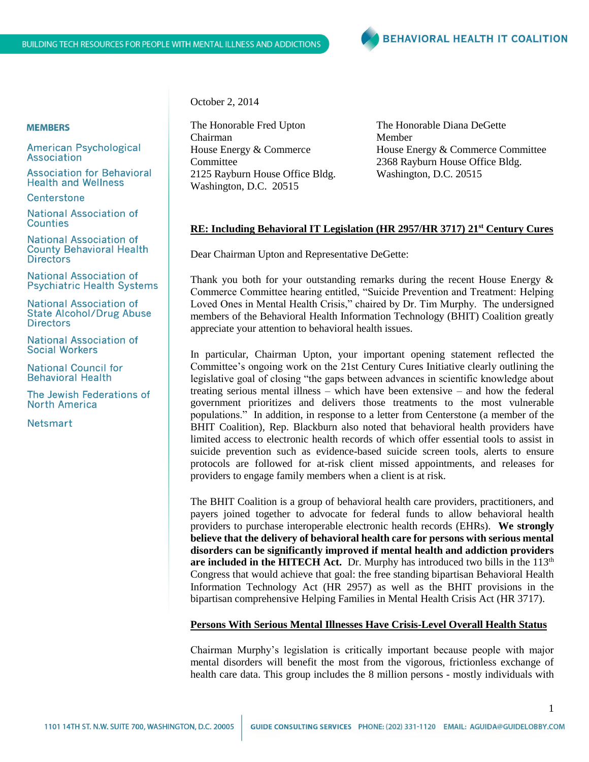

### **MEMBERS**

**American Psychological** Association

**Association for Behavioral Health and Wellness** 

Centerstone

National Association of **Counties** 

**National Association of County Behavioral Health Directors** 

**National Association of Psychiatric Health Systems** 

**National Association of State Alcohol/Drug Abuse Directors** 

**National Association of Social Workers** 

**National Council for Behavioral Health** 

The Jewish Federations of North America

**Netsmart** 

October 2, 2014

The Honorable Fred Upton Chairman House Energy & Commerce **Committee** 2125 Rayburn House Office Bldg. Washington, D.C. 20515

The Honorable Diana DeGette Member House Energy & Commerce Committee 2368 Rayburn House Office Bldg. Washington, D.C. 20515

### **RE: Including Behavioral IT Legislation (HR 2957/HR 3717) 21st Century Cures**

Dear Chairman Upton and Representative DeGette:

Thank you both for your outstanding remarks during the recent House Energy  $\&$ Commerce Committee hearing entitled, "Suicide Prevention and Treatment: Helping Loved Ones in Mental Health Crisis," chaired by Dr. Tim Murphy. The undersigned members of the Behavioral Health Information Technology (BHIT) Coalition greatly appreciate your attention to behavioral health issues.

In particular, Chairman Upton, your important opening statement reflected the Committee's ongoing work on the 21st Century Cures Initiative clearly outlining the legislative goal of closing "the gaps between advances in scientific knowledge about treating serious mental illness – which have been extensive – and how the federal government prioritizes and delivers those treatments to the most vulnerable populations." In addition, in response to a letter from Centerstone (a member of the BHIT Coalition), Rep. Blackburn also noted that behavioral health providers have limited access to electronic health records of which offer essential tools to assist in suicide prevention such as evidence-based suicide screen tools, alerts to ensure protocols are followed for at-risk client missed appointments, and releases for providers to engage family members when a client is at risk.

The BHIT Coalition is a group of behavioral health care providers, practitioners, and payers joined together to advocate for federal funds to allow behavioral health providers to purchase interoperable electronic health records (EHRs). **We strongly believe that the delivery of behavioral health care for persons with serious mental disorders can be significantly improved if mental health and addiction providers are included in the HITECH Act.** Dr. Murphy has introduced two bills in the 113<sup>th</sup> Congress that would achieve that goal: the free standing bipartisan Behavioral Health Information Technology Act (HR 2957) as well as the BHIT provisions in the bipartisan comprehensive Helping Families in Mental Health Crisis Act (HR 3717).

### **Persons With Serious Mental Illnesses Have Crisis-Level Overall Health Status**

Chairman Murphy's legislation is critically important because people with major mental disorders will benefit the most from the vigorous, frictionless exchange of health care data. This group includes the 8 million persons - mostly individuals with

1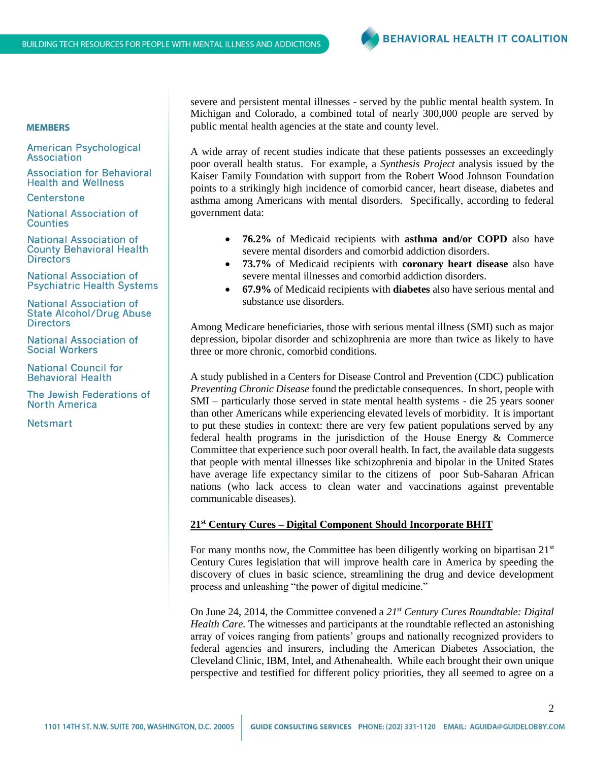# **MEMBERS**

**American Psychological** Association

**Association for Behavioral Health and Wellness** 

Centerstone

National Association of **Counties** 

**National Association of County Behavioral Health Directors** 

**National Association of Psychiatric Health Systems** 

**National Association of State Alcohol/Drug Abuse Directors** 

**National Association of Social Workers** 

**National Council for Behavioral Health** 

The Jewish Federations of **North America** 

**Netsmart** 

severe and persistent mental illnesses - served by the public mental health system. In Michigan and Colorado, a combined total of nearly 300,000 people are served by public mental health agencies at the state and county level.

A wide array of recent studies indicate that these patients possesses an exceedingly poor overall health status. For example, a *Synthesis Project* analysis issued by the Kaiser Family Foundation with support from the Robert Wood Johnson Foundation points to a strikingly high incidence of comorbid cancer, heart disease, diabetes and asthma among Americans with mental disorders. Specifically, according to federal government data:

- **76.2%** of Medicaid recipients with **asthma and/or COPD** also have severe mental disorders and comorbid addiction disorders.
- **73.7%** of Medicaid recipients with **coronary heart disease** also have severe mental illnesses and comorbid addiction disorders.
- **67.9%** of Medicaid recipients with **diabetes** also have serious mental and substance use disorders.

Among Medicare beneficiaries, those with serious mental illness (SMI) such as major depression, bipolar disorder and schizophrenia are more than twice as likely to have three or more chronic, comorbid conditions.

A study published in a Centers for Disease Control and Prevention (CDC) publication *Preventing Chronic Disease* found the predictable consequences. In short, people with SMI – particularly those served in state mental health systems - die 25 years sooner than other Americans while experiencing elevated levels of morbidity. It is important to put these studies in context: there are very few patient populations served by any federal health programs in the jurisdiction of the House Energy & Commerce Committee that experience such poor overall health. In fact, the available data suggests that people with mental illnesses like schizophrenia and bipolar in the United States have average life expectancy similar to the citizens of poor Sub-Saharan African nations (who lack access to clean water and vaccinations against preventable communicable diseases).

## **21st Century Cures – Digital Component Should Incorporate BHIT**

For many months now, the Committee has been diligently working on bipartisan  $21<sup>st</sup>$ Century Cures legislation that will improve health care in America by speeding the discovery of clues in basic science, streamlining the drug and device development process and unleashing "the power of digital medicine."

On June 24, 2014, the Committee convened a *21st Century Cures Roundtable: Digital Health Care.* The witnesses and participants at the roundtable reflected an astonishing array of voices ranging from patients' groups and nationally recognized providers to federal agencies and insurers, including the American Diabetes Association, the Cleveland Clinic, IBM, Intel, and Athenahealth. While each brought their own unique perspective and testified for different policy priorities, they all seemed to agree on a